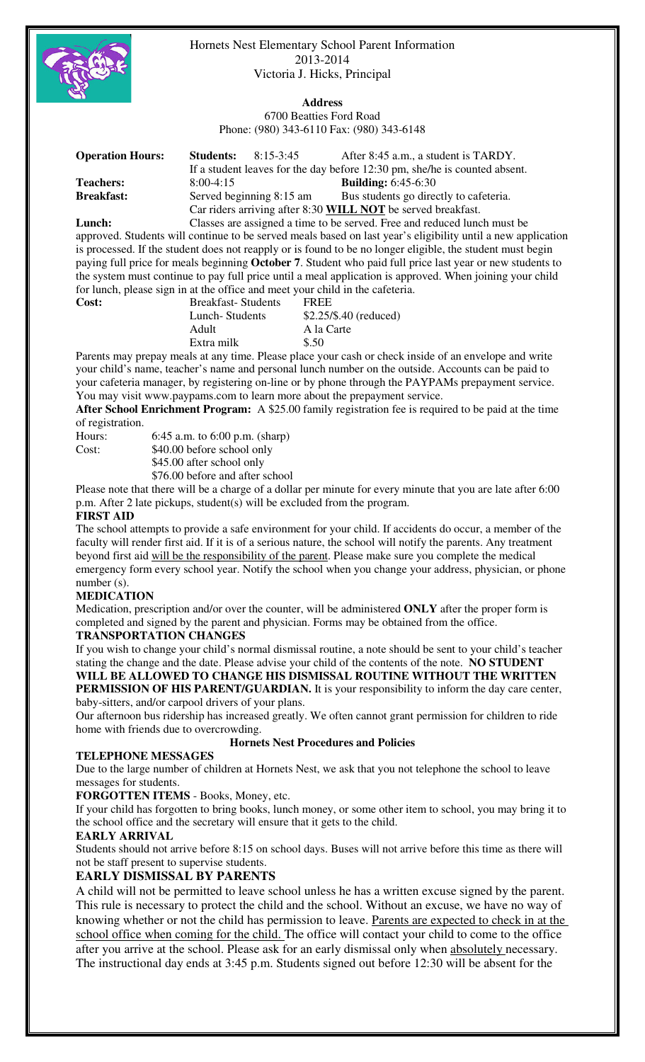

Hornets Nest Elementary School Parent Information 2013-2014 Victoria J. Hicks, Principal

# **Address**

6700 Beatties Ford Road Phone: (980) 343-6110 Fax: (980) 343-6148

| <b>Operation Hours:</b> | <b>Students:</b><br>$8:15-3:45$                              | After 8:45 a.m., a student is TARDY.<br>If a student leaves for the day before 12:30 pm, she/he is counted absent. |  |
|-------------------------|--------------------------------------------------------------|--------------------------------------------------------------------------------------------------------------------|--|
| <b>Teachers:</b>        | $8:00-4:15$                                                  | <b>Building:</b> 6:45-6:30                                                                                         |  |
| <b>Breakfast:</b>       | Served beginning 8:15 am                                     | Bus students go directly to cafeteria.                                                                             |  |
|                         | Car riders arriving after 8:30 WILL NOT be served breakfast. |                                                                                                                    |  |
| Lunch:                  |                                                              | Classes are assigned a time to be served. Free and reduced lunch must be                                           |  |

approved. Students will continue to be served meals based on last year's eligibility until a new application is processed. If the student does not reapply or is found to be no longer eligible, the student must begin paying full price for meals beginning **October 7**. Student who paid full price last year or new students to the system must continue to pay full price until a meal application is approved. When joining your child for lunch, please sign in at the office and meet your child in the cafeteria.

| <b>Cost:</b> | <b>Breakfast-Students</b> | <b>FREE</b>             |
|--------------|---------------------------|-------------------------|
|              | Lunch-Students            | $$2.25/\$.40$ (reduced) |
|              | Adult                     | A la Carte              |
|              | Extra milk                | \$.50                   |

Parents may prepay meals at any time. Please place your cash or check inside of an envelope and write your child's name, teacher's name and personal lunch number on the outside. Accounts can be paid to your cafeteria manager, by registering on-line or by phone through the PAYPAMs prepayment service. You may visit www.paypams.com to learn more about the prepayment service.

**After School Enrichment Program:** A \$25.00 family registration fee is required to be paid at the time of registration.

| Hours: | 6:45 a.m. to $6:00$ p.m. (sharp) |
|--------|----------------------------------|
| Cost:  | \$40.00 before school only       |
|        | \$45.00 after school only        |

\$76.00 before and after school

Please note that there will be a charge of a dollar per minute for every minute that you are late after 6:00 p.m. After 2 late pickups, student(s) will be excluded from the program.

# **FIRST AID**

The school attempts to provide a safe environment for your child. If accidents do occur, a member of the faculty will render first aid. If it is of a serious nature, the school will notify the parents. Any treatment beyond first aid will be the responsibility of the parent. Please make sure you complete the medical emergency form every school year. Notify the school when you change your address, physician, or phone number (s).

# **MEDICATION**

Medication, prescription and/or over the counter, will be administered **ONLY** after the proper form is completed and signed by the parent and physician. Forms may be obtained from the office.

# **TRANSPORTATION CHANGES**

If you wish to change your child's normal dismissal routine, a note should be sent to your child's teacher stating the change and the date. Please advise your child of the contents of the note. **NO STUDENT WILL BE ALLOWED TO CHANGE HIS DISMISSAL ROUTINE WITHOUT THE WRITTEN** 

**PERMISSION OF HIS PARENT/GUARDIAN.** It is your responsibility to inform the day care center, baby-sitters, and/or carpool drivers of your plans.

Our afternoon bus ridership has increased greatly. We often cannot grant permission for children to ride home with friends due to overcrowding.

## **Hornets Nest Procedures and Policies**

## **TELEPHONE MESSAGES**

Due to the large number of children at Hornets Nest, we ask that you not telephone the school to leave messages for students.

**FORGOTTEN ITEMS** - Books, Money, etc.

If your child has forgotten to bring books, lunch money, or some other item to school, you may bring it to the school office and the secretary will ensure that it gets to the child.

# **EARLY ARRIVAL**

Students should not arrive before 8:15 on school days. Buses will not arrive before this time as there will not be staff present to supervise students.

# **EARLY DISMISSAL BY PARENTS**

A child will not be permitted to leave school unless he has a written excuse signed by the parent. This rule is necessary to protect the child and the school. Without an excuse, we have no way of knowing whether or not the child has permission to leave. Parents are expected to check in at the school office when coming for the child. The office will contact your child to come to the office after you arrive at the school. Please ask for an early dismissal only when absolutely necessary. The instructional day ends at 3:45 p.m. Students signed out before 12:30 will be absent for the